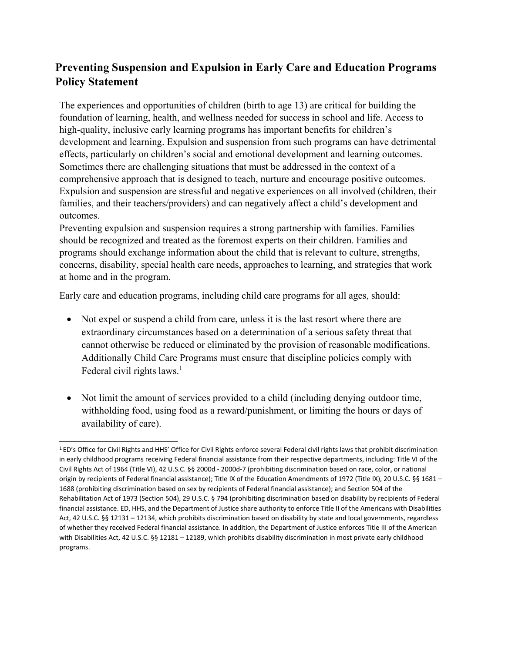## **Preventing Suspension and Expulsion in Early Care and Education Programs Policy Statement**

The experiences and opportunities of children (birth to age 13) are critical for building the foundation of learning, health, and wellness needed for success in school and life. Access to high-quality, inclusive early learning programs has important benefits for children's development and learning. Expulsion and suspension from such programs can have detrimental effects, particularly on children's social and emotional development and learning outcomes. Sometimes there are challenging situations that must be addressed in the context of a comprehensive approach that is designed to teach, nurture and encourage positive outcomes. Expulsion and suspension are stressful and negative experiences on all involved (children, their families, and their teachers/providers) and can negatively affect a child's development and outcomes.

Preventing expulsion and suspension requires a strong partnership with families. Families should be recognized and treated as the foremost experts on their children. Families and programs should exchange information about the child that is relevant to culture, strengths, concerns, disability, special health care needs, approaches to learning, and strategies that work at home and in the program.

Early care and education programs, including child care programs for all ages, should:

- Not expel or suspend a child from care, unless it is the last resort where there are extraordinary circumstances based on a determination of a serious safety threat that cannot otherwise be reduced or eliminated by the provision of reasonable modifications. Additionally Child Care Programs must ensure that discipline policies comply with Federal civil rights laws.<sup>1</sup>
- Not limit the amount of services provided to a child (including denying outdoor time, withholding food, using food as a reward/punishment, or limiting the hours or days of availability of care).

<sup>1</sup> ED's Office for Civil Rights and HHS' Office for Civil Rights enforce several Federal civil rights laws that prohibit discrimination in early childhood programs receiving Federal financial assistance from their respective departments, including: Title VI of the Civil Rights Act of 1964 (Title VI), 42 U.S.C. §§ 2000d - 2000d-7 (prohibiting discrimination based on race, color, or national origin by recipients of Federal financial assistance); Title IX of the Education Amendments of 1972 (Title IX), 20 U.S.C. §§ 1681 – 1688 (prohibiting discrimination based on sex by recipients of Federal financial assistance); and Section 504 of the Rehabilitation Act of 1973 (Section 504), 29 U.S.C. § 794 (prohibiting discrimination based on disability by recipients of Federal financial assistance. ED, HHS, and the Department of Justice share authority to enforce Title II of the Americans with Disabilities Act, 42 U.S.C. §§ 12131 – 12134, which prohibits discrimination based on disability by state and local governments, regardless of whether they received Federal financial assistance. In addition, the Department of Justice enforces Title III of the American with Disabilities Act, 42 U.S.C. §§ 12181 – 12189, which prohibits disability discrimination in most private early childhood programs.